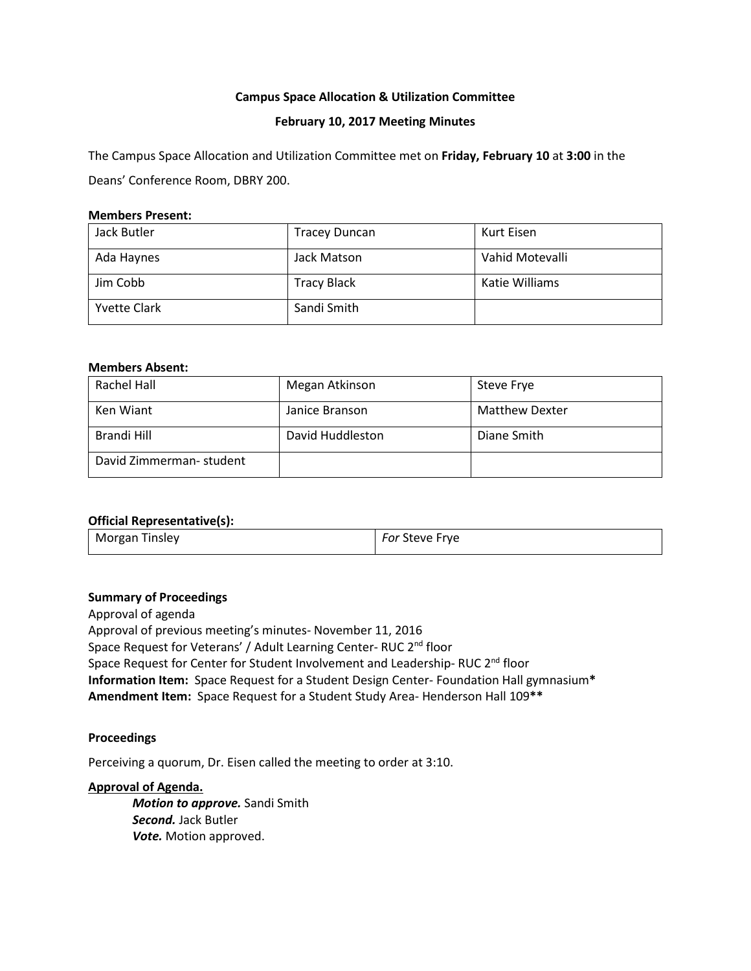# **Campus Space Allocation & Utilization Committee**

## **February 10, 2017 Meeting Minutes**

The Campus Space Allocation and Utilization Committee met on **Friday, February 10** at **3:00** in the Deans' Conference Room, DBRY 200.

## **Members Present:**

| Jack Butler         | <b>Tracey Duncan</b> | Kurt Eisen      |
|---------------------|----------------------|-----------------|
| Ada Haynes          | Jack Matson          | Vahid Motevalli |
| Jim Cobb            | <b>Tracy Black</b>   | Katie Williams  |
| <b>Yvette Clark</b> | Sandi Smith          |                 |

#### **Members Absent:**

| Rachel Hall              | Megan Atkinson   | Steve Frye            |
|--------------------------|------------------|-----------------------|
| Ken Wiant                | Janice Branson   | <b>Matthew Dexter</b> |
| Brandi Hill              | David Huddleston | Diane Smith           |
| David Zimmerman- student |                  |                       |

## **Official Representative(s):**

| Morgan Tinsley | For Steve Frye |
|----------------|----------------|

#### **Summary of Proceedings**

Approval of agenda Approval of previous meeting's minutes- November 11, 2016 Space Request for Veterans' / Adult Learning Center- RUC 2<sup>nd</sup> floor Space Request for Center for Student Involvement and Leadership-RUC 2<sup>nd</sup> floor **Information Item:** Space Request for a Student Design Center- Foundation Hall gymnasium**\* Amendment Item:** Space Request for a Student Study Area- Henderson Hall 109**\*\***

#### **Proceedings**

Perceiving a quorum, Dr. Eisen called the meeting to order at 3:10.

#### **Approval of Agenda.**

*Motion to approve.* Sandi Smith *Second.* Jack Butler *Vote.* Motion approved.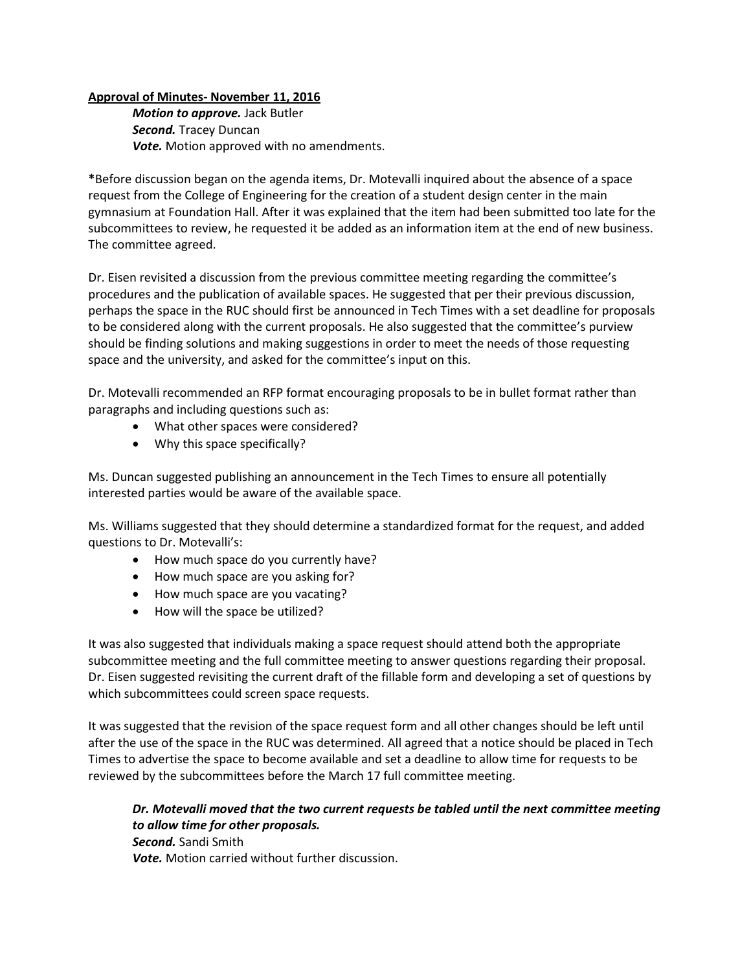# **Approval of Minutes- November 11, 2016**

*Motion to approve.* Jack Butler *Second.* Tracey Duncan *Vote.* Motion approved with no amendments.

**\***Before discussion began on the agenda items, Dr. Motevalli inquired about the absence of a space request from the College of Engineering for the creation of a student design center in the main gymnasium at Foundation Hall. After it was explained that the item had been submitted too late for the subcommittees to review, he requested it be added as an information item at the end of new business. The committee agreed.

Dr. Eisen revisited a discussion from the previous committee meeting regarding the committee's procedures and the publication of available spaces. He suggested that per their previous discussion, perhaps the space in the RUC should first be announced in Tech Times with a set deadline for proposals to be considered along with the current proposals. He also suggested that the committee's purview should be finding solutions and making suggestions in order to meet the needs of those requesting space and the university, and asked for the committee's input on this.

Dr. Motevalli recommended an RFP format encouraging proposals to be in bullet format rather than paragraphs and including questions such as:

- What other spaces were considered?
- Why this space specifically?

Ms. Duncan suggested publishing an announcement in the Tech Times to ensure all potentially interested parties would be aware of the available space.

Ms. Williams suggested that they should determine a standardized format for the request, and added questions to Dr. Motevalli's:

- How much space do you currently have?
- How much space are you asking for?
- How much space are you vacating?
- How will the space be utilized?

It was also suggested that individuals making a space request should attend both the appropriate subcommittee meeting and the full committee meeting to answer questions regarding their proposal. Dr. Eisen suggested revisiting the current draft of the fillable form and developing a set of questions by which subcommittees could screen space requests.

It was suggested that the revision of the space request form and all other changes should be left until after the use of the space in the RUC was determined. All agreed that a notice should be placed in Tech Times to advertise the space to become available and set a deadline to allow time for requests to be reviewed by the subcommittees before the March 17 full committee meeting.

*Dr. Motevalli moved that the two current requests be tabled until the next committee meeting to allow time for other proposals. Second.* Sandi Smith *Vote.* Motion carried without further discussion.